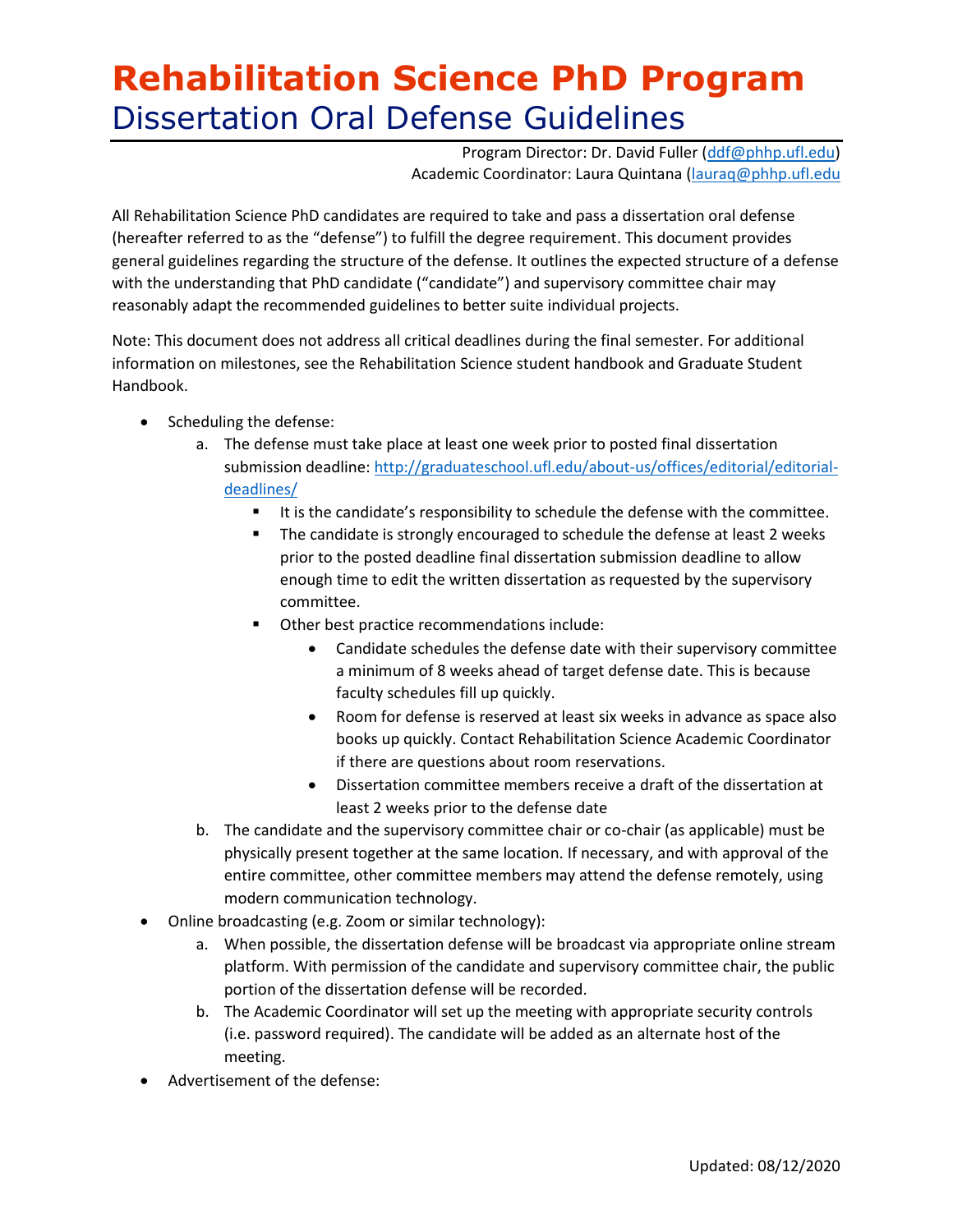Program Director: Dr. David Fuller [\(ddf@phhp.ufl.edu\)](mailto:ddf@phhp.ufl.edu) Academic Coordinator: Laura Quintana [\(lauraq@phhp.ufl.edu](mailto:lauraq@phhp.ufl.edu)

All Rehabilitation Science PhD candidates are required to take and pass a dissertation oral defense (hereafter referred to as the "defense") to fulfill the degree requirement. This document provides general guidelines regarding the structure of the defense. It outlines the expected structure of a defense with the understanding that PhD candidate ("candidate") and supervisory committee chair may reasonably adapt the recommended guidelines to better suite individual projects.

Note: This document does not address all critical deadlines during the final semester. For additional information on milestones, see the Rehabilitation Science student handbook and Graduate Student Handbook.

- Scheduling the defense:
	- a. The defense must take place at least one week prior to posted final dissertation submission deadline[: http://graduateschool.ufl.edu/about-us/offices/editorial/editorial](http://graduateschool.ufl.edu/about-us/offices/editorial/editorial-deadlines/)[deadlines/](http://graduateschool.ufl.edu/about-us/offices/editorial/editorial-deadlines/)
		- It is the candidate's responsibility to schedule the defense with the committee.
		- The candidate is strongly encouraged to schedule the defense at least 2 weeks prior to the posted deadline final dissertation submission deadline to allow enough time to edit the written dissertation as requested by the supervisory committee.
		- Other best practice recommendations include:
			- Candidate schedules the defense date with their supervisory committee a minimum of 8 weeks ahead of target defense date. This is because faculty schedules fill up quickly.
			- Room for defense is reserved at least six weeks in advance as space also books up quickly. Contact Rehabilitation Science Academic Coordinator if there are questions about room reservations.
			- Dissertation committee members receive a draft of the dissertation at least 2 weeks prior to the defense date
	- b. The candidate and the supervisory committee chair or co-chair (as applicable) must be physically present together at the same location. If necessary, and with approval of the entire committee, other committee members may attend the defense remotely, using modern communication technology.
- Online broadcasting (e.g. Zoom or similar technology):
	- a. When possible, the dissertation defense will be broadcast via appropriate online stream platform. With permission of the candidate and supervisory committee chair, the public portion of the dissertation defense will be recorded.
	- b. The Academic Coordinator will set up the meeting with appropriate security controls (i.e. password required). The candidate will be added as an alternate host of the meeting.
- Advertisement of the defense: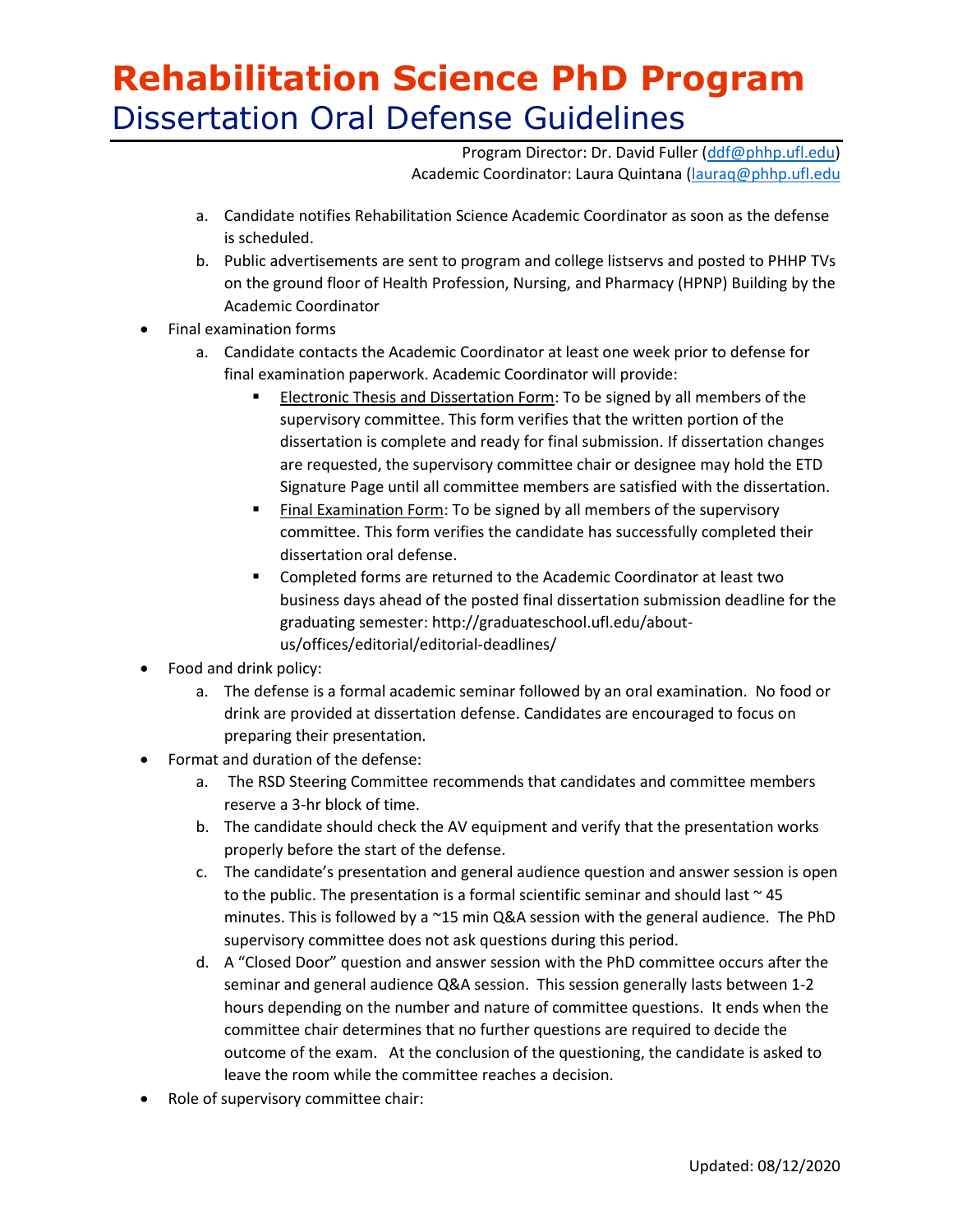Program Director: Dr. David Fuller [\(ddf@phhp.ufl.edu\)](mailto:ddf@phhp.ufl.edu) Academic Coordinator: Laura Quintana [\(lauraq@phhp.ufl.edu](mailto:lauraq@phhp.ufl.edu)

- a. Candidate notifies Rehabilitation Science Academic Coordinator as soon as the defense is scheduled.
- b. Public advertisements are sent to program and college listservs and posted to PHHP TVs on the ground floor of Health Profession, Nursing, and Pharmacy (HPNP) Building by the Academic Coordinator
- Final examination forms
	- a. Candidate contacts the Academic Coordinator at least one week prior to defense for final examination paperwork. Academic Coordinator will provide:
		- Electronic Thesis and Dissertation Form: To be signed by all members of the supervisory committee. This form verifies that the written portion of the dissertation is complete and ready for final submission. If dissertation changes are requested, the supervisory committee chair or designee may hold the ETD Signature Page until all committee members are satisfied with the dissertation.
		- Final Examination Form: To be signed by all members of the supervisory committee. This form verifies the candidate has successfully completed their dissertation oral defense.
		- Completed forms are returned to the Academic Coordinator at least two business days ahead of the posted final dissertation submission deadline for the graduating semester: http://graduateschool.ufl.edu/aboutus/offices/editorial/editorial-deadlines/
- Food and drink policy:
	- a. The defense is a formal academic seminar followed by an oral examination. No food or drink are provided at dissertation defense. Candidates are encouraged to focus on preparing their presentation.
- Format and duration of the defense:
	- a. The RSD Steering Committee recommends that candidates and committee members reserve a 3-hr block of time.
	- b. The candidate should check the AV equipment and verify that the presentation works properly before the start of the defense.
	- c. The candidate's presentation and general audience question and answer session is open to the public. The presentation is a formal scientific seminar and should last  $\sim$  45 minutes. This is followed by a  $\gamma$ 15 min Q&A session with the general audience. The PhD supervisory committee does not ask questions during this period.
	- d. A "Closed Door" question and answer session with the PhD committee occurs after the seminar and general audience Q&A session. This session generally lasts between 1-2 hours depending on the number and nature of committee questions. It ends when the committee chair determines that no further questions are required to decide the outcome of the exam. At the conclusion of the questioning, the candidate is asked to leave the room while the committee reaches a decision.
- Role of supervisory committee chair: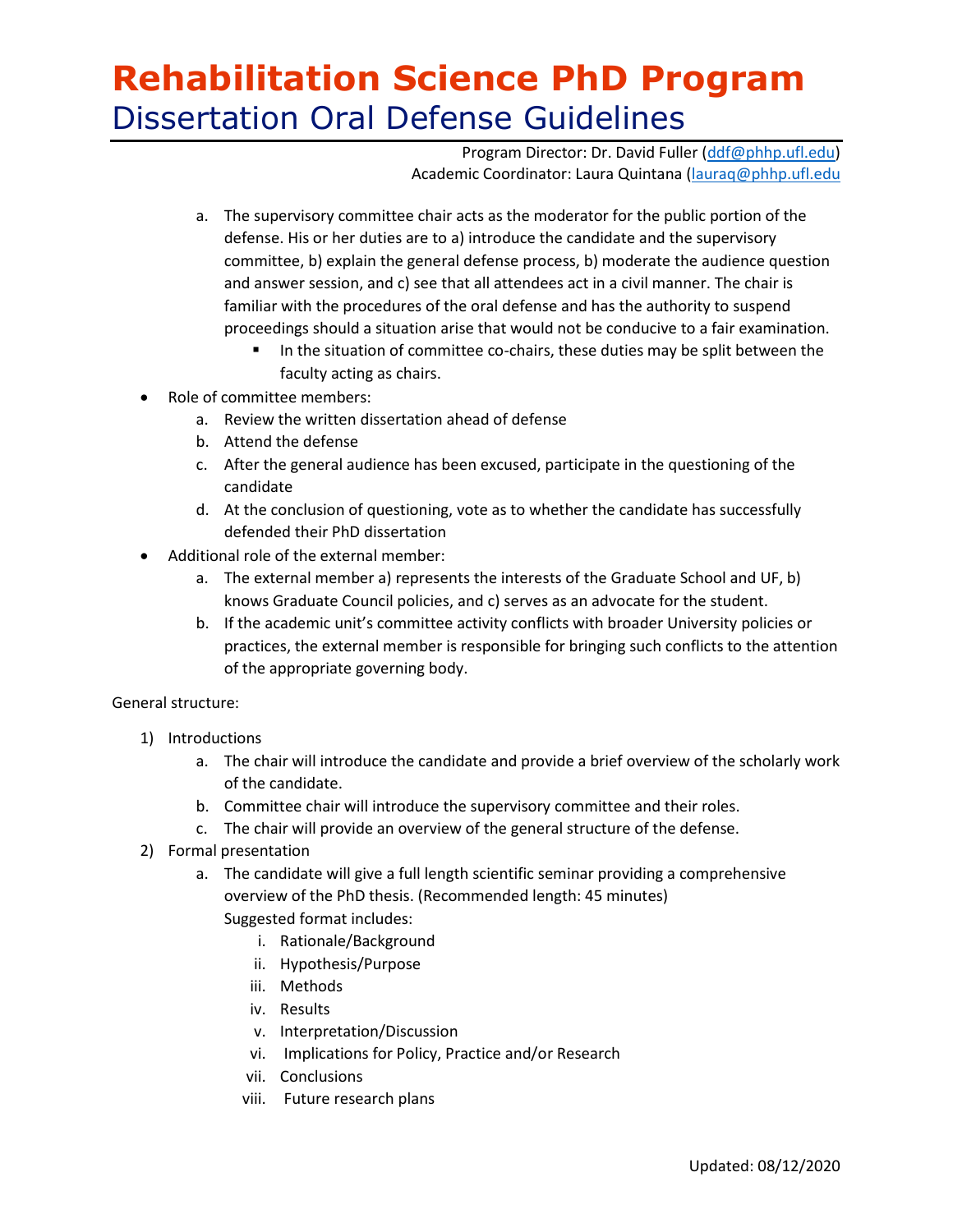Program Director: Dr. David Fuller [\(ddf@phhp.ufl.edu\)](mailto:ddf@phhp.ufl.edu) Academic Coordinator: Laura Quintana [\(lauraq@phhp.ufl.edu](mailto:lauraq@phhp.ufl.edu)

- a. The supervisory committee chair acts as the moderator for the public portion of the defense. His or her duties are to a) introduce the candidate and the supervisory committee, b) explain the general defense process, b) moderate the audience question and answer session, and c) see that all attendees act in a civil manner. The chair is familiar with the procedures of the oral defense and has the authority to suspend proceedings should a situation arise that would not be conducive to a fair examination.
	- In the situation of committee co-chairs, these duties may be split between the faculty acting as chairs.
- Role of committee members:
	- a. Review the written dissertation ahead of defense
	- b. Attend the defense
	- c. After the general audience has been excused, participate in the questioning of the candidate
	- d. At the conclusion of questioning, vote as to whether the candidate has successfully defended their PhD dissertation
- Additional role of the external member:
	- a. The external member a) represents the interests of the Graduate School and UF, b) knows Graduate Council policies, and c) serves as an advocate for the student.
	- b. If the academic unit's committee activity conflicts with broader University policies or practices, the external member is responsible for bringing such conflicts to the attention of the appropriate governing body.

#### General structure:

- 1) Introductions
	- a. The chair will introduce the candidate and provide a brief overview of the scholarly work of the candidate.
	- b. Committee chair will introduce the supervisory committee and their roles.
	- c. The chair will provide an overview of the general structure of the defense.
- 2) Formal presentation
	- a. The candidate will give a full length scientific seminar providing a comprehensive overview of the PhD thesis. (Recommended length: 45 minutes) Suggested format includes:
		- i. Rationale/Background
		- ii. Hypothesis/Purpose
		- iii. Methods
		- iv. Results
		- v. Interpretation/Discussion
		- vi. Implications for Policy, Practice and/or Research
		- vii. Conclusions
		- viii. Future research plans